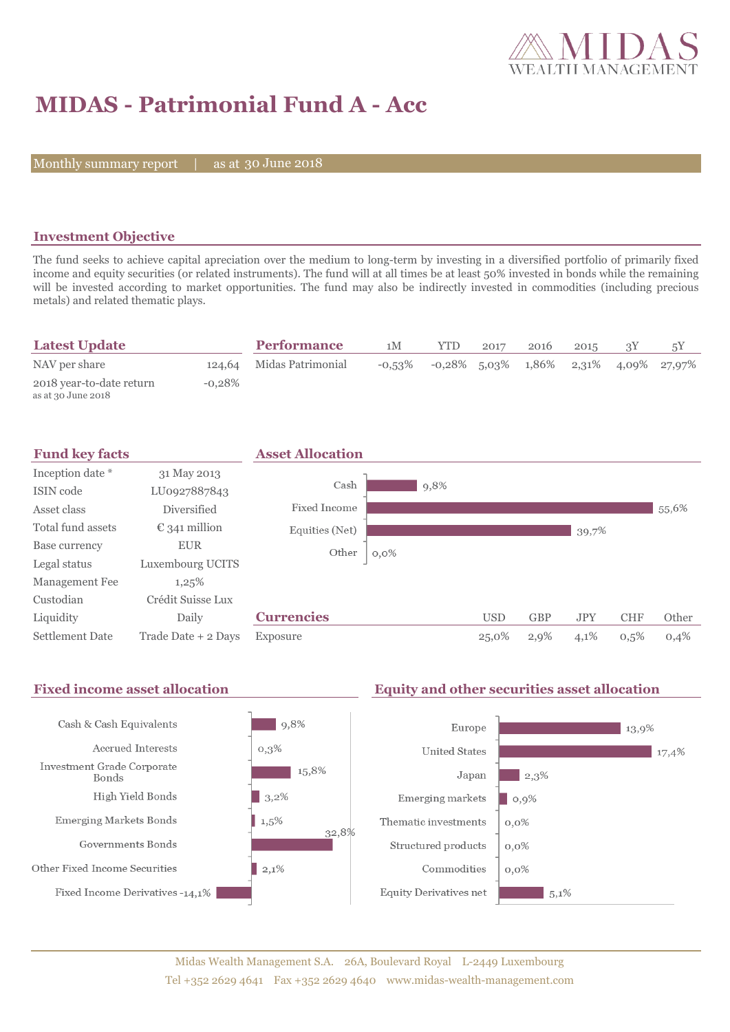

# **MIDAS - Patrimonial Fund A - Acc**

Monthly summary report | as at 30 June 2018

### **Investment Objective**

The fund seeks to achieve capital apreciation over the medium to long-term by investing in a diversified portfolio of primarily fixed income and equity securities (or related instruments). The fund will at all times be at least 50% invested in bonds while the remaining will be invested according to market opportunities. The fund may also be indirectly invested in commodities (including precious metals) and related thematic plays.

| <b>Latest Update</b>                           |           | <b>Performance</b>       | 1M        | <b>YTD</b> | 2017 | 2016 | 2015 |                                          |
|------------------------------------------------|-----------|--------------------------|-----------|------------|------|------|------|------------------------------------------|
| NAV per share                                  |           | 124,64 Midas Patrimonial | $-0.53\%$ |            |      |      |      | $-0.28\%$ 5.03% 1.86% 2.31% 4.09% 27.97% |
| 2018 year-to-date return<br>as at 30 June 2018 | $-0.28\%$ |                          |           |            |      |      |      |                                          |



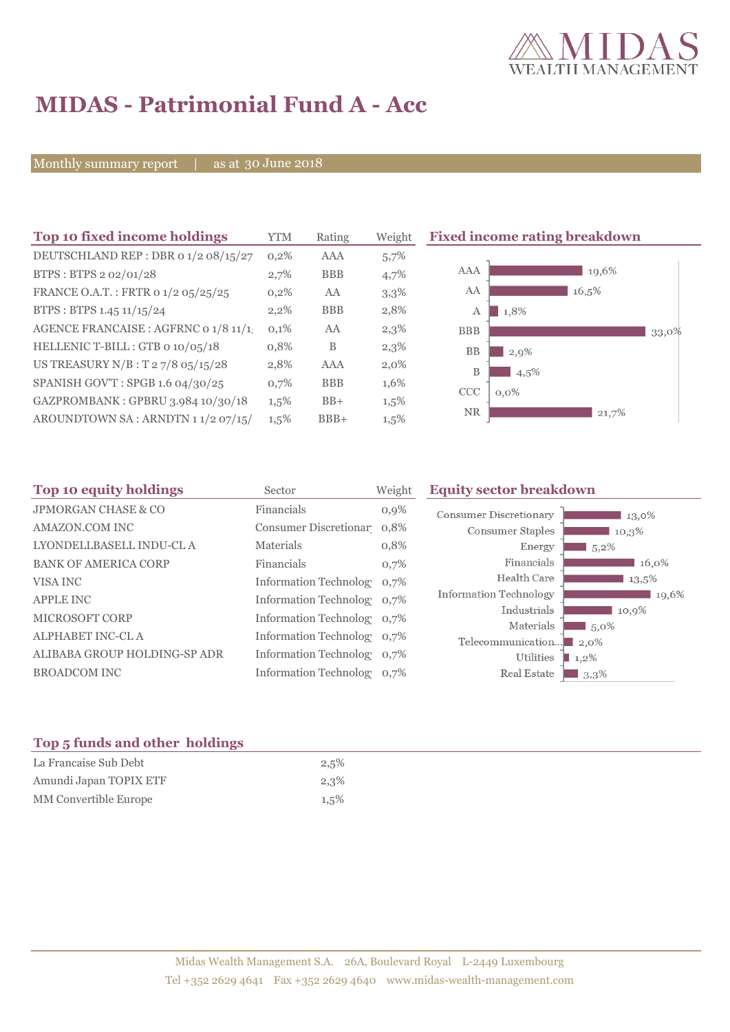

# **MIDAS - Patrimonial Fund A - Acc**

Monthly summary report | as at 30 June 2018

| Top 10 fixed income holdings         | YTM     | Rating     | Weight  | <b>Fixed inco</b> |
|--------------------------------------|---------|------------|---------|-------------------|
| DEUTSCHLAND REP : DBR 0 1/2 08/15/27 | 0,2%    | AAA        | 5,7%    |                   |
| BTPS: BTPS 2 02/01/28                | 2,7%    | <b>BBB</b> | 4,7%    | AAA               |
| FRANCE O.A.T.: FRTR 0 1/2 05/25/25   | 0,2%    | AA         | 3,3%    | AA                |
| BTPS: BTPS 1.45 11/15/24             | 2,2%    | <b>BBB</b> | 2,8%    | А                 |
| AGENCE FRANCAISE : AGFRNC 0 1/8 11/1 | 0,1%    | AA         | 2,3%    | <b>BBB</b>        |
| HELLENIC T-BILL: GTB 0 10/05/18      | 0,8%    | B          | 2,3%    | BB                |
| US TREASURY N/B: T 27/8 05/15/28     | 2,8%    | AAA        | $2,0\%$ | B                 |
| SPANISH GOV'T: SPGB 1.6 04/30/25     | 0,7%    | <b>BBB</b> | 1,6%    | <b>CCC</b>        |
| GAZPROMBANK: GPBRU 3.984 10/30/18    | $1,5\%$ | $BB+$      | $1,5\%$ |                   |
| AROUNDTOWN SA: ARNDTN 11/2 07/15/    | 1,5%    | $BBB+$     | 1,5%    | <b>NR</b>         |
|                                      |         |            |         |                   |

### **The Biomerating breakdown**



| <b>Top 10 equity holdings</b>  | Sector                     | Weight  | <b>Equity sector breakdown</b>                  |
|--------------------------------|----------------------------|---------|-------------------------------------------------|
| <b>JPMORGAN CHASE &amp; CO</b> | Financials                 | $0,9\%$ | Consumer Discretionary<br>13,0%                 |
| AMAZON.COM INC                 | Consumer Discretionar 0,8% |         | Consumer Staples<br>$10,3\%$                    |
| LYONDELLBASELL INDU-CL A       | Materials                  | 0,8%    | Energy<br>$5,2\%$                               |
| <b>BANK OF AMERICA CORP</b>    | Financials                 | 0,7%    | Financials<br>16,0%                             |
| VISA INC                       | Information Technolog 0,7% |         | Health Care<br>13,5%                            |
| <b>APPLE INC</b>               | Information Technolog 0,7% |         | Information Technology<br>19,6%                 |
| MICROSOFT CORP                 | Information Technolog 0,7% |         | Industrials<br>10,9%<br>Materials               |
| ALPHABET INC-CL A              | Information Technolog 0,7% |         | $\frac{1}{2}$ 5,0%<br>Telecommunication<br>2.0% |
| ALIBABA GROUP HOLDING-SP ADR   | Information Technolog 0,7% |         | Utilities<br>1,2%                               |
| <b>BROADCOM INC</b>            | Information Technolog 0,7% |         | Real Estate<br>3,3%                             |
|                                |                            |         |                                                 |

#### **Top 5 funds and other holdings**

| La Francaise Sub Debt  | 2,5% |
|------------------------|------|
| Amundi Japan TOPIX ETF | 2,3% |
| MM Convertible Europe  | 1,5% |